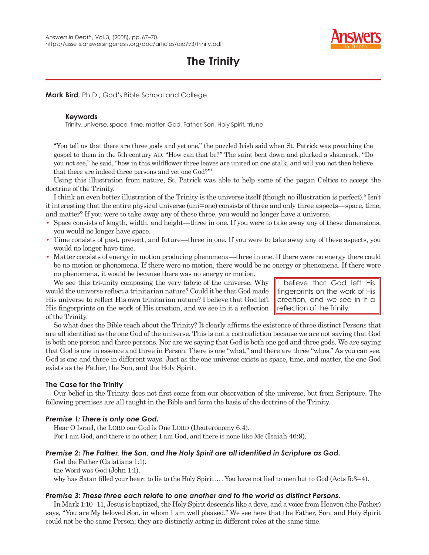

# **The Trinity**

**Mark Bird**, Ph.D., God's Bible School and College

# **Keywords**

Trinity, universe, space, time, matter, God, Father, Son, Holy Spirit, triune

"You tell us that there are three gods and yet one," the puzzled Irish said when St. Patrick was preaching the gospel to them in the 5th century AD. "How can that be?" The saint bent down and plucked a shamrock. "Do you not see," he said, "how in this wildflower three leaves are united on one stalk, and will you not then believe that there are indeed three persons and yet one God?"1

Using this illustration from nature, St. Patrick was able to help some of the pagan Celtics to accept the doctrine of the Trinity.

I think an even better illustration of the Trinity is the universe itself (though no illustration is perfect).<sup>2</sup> Isn't it interesting that the entire physical universe (uni = one) consists of three and only three aspects—space, time, and matter? If you were to take away any of these three, you would no longer have a universe.

- **•** Space consists of length, width, and height—three in one. If you were to take away any of these dimensions, you would no longer have space.
- **•** Time consists of past, present, and future—three in one. If you were to take away any of these aspects, you would no longer have time.
- Matter consists of energy in motion producing phenomena—three in one. If there were no energy there could be no motion or phenomena. If there were no motion, there would be no energy or phenomena. If there were no phenomena, it would be because there was no energy or motion.

We see this tri-unity composing the very fabric of the universe. Why would the universe reflect a trinitarian nature? Could it be that God made His universe to reflect His own trinitarian nature? I believe that God left His fingerprints on the work of His creation, and we see in it a reflection of the Trinity.

I believe that God left His fingerprints on the work of His creation, and we see in it a reflection of the Trinity.

So what does the Bible teach about the Trinity? It clearly affirms the existence of three distinct Persons that are all identified as the one God of the universe. This is not a contradiction because we are not saying that God is both one person and three persons. Nor are we saying that God is both one god and three gods. We are saying that God is one in essence and three in Person. There is one "what," and there are three "whos." As you can see, God is one and three in different ways. Just as the one universe exists as space, time, and matter, the one God exists as the Father, the Son, and the Holy Spirit.

# **The Case for the Trinity**

Our belief in the Trinity does not first come from our observation of the universe, but from Scripture. The following premises are all taught in the Bible and form the basis of the doctrine of the Trinity.

# *Premise 1: There is only one God.*

Hear O Israel, the LORD our God is One LORD (Deuteronomy 6:4). For I am God, and there is no other; I am God, and there is none like Me (Isaiah 46:9).

# *Premise 2: The Father, the Son, and the Holy Spirit are all identified in Scripture as God.*

God the Father (Galatians 1:1).

the Word was God (John 1:1).

why has Satan filled your heart to lie to the Holy Spirit.... You have not lied to men but to God (Acts 5:3–4).

# *Premise 3: These three each relate to one another and to the world as distinct Persons.*

In Mark 1:10–11, Jesus is baptized, the Holy Spirit descends like a dove, and a voice from Heaven (the Father) says, "You are My beloved Son, in whom I am well pleased." We see here that the Father, Son, and Holy Spirit could not be the same Person; they are distinctly acting in different roles at the same time.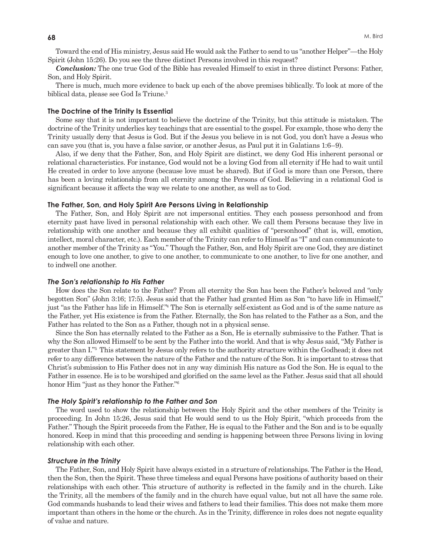Toward the end of His ministry, Jesus said He would ask the Father to send to us "another Helper"—the Holy Spirit (John 15:26). Do you see the three distinct Persons involved in this request?

*Conclusion:* The one true God of the Bible has revealed Himself to exist in three distinct Persons: Father, Son, and Holy Spirit.

There is much, much more evidence to back up each of the above premises biblically. To look at more of the biblical data, please see God Is Triune.<sup>3</sup>

## **The Doctrine of the Trinity Is Essential**

Some say that it is not important to believe the doctrine of the Trinity, but this attitude is mistaken. The doctrine of the Trinity underlies key teachings that are essential to the gospel. For example, those who deny the Trinity usually deny that Jesus is God. But if the Jesus you believe in is not God, you don't have a Jesus who can save you (that is, you have a false savior, or another Jesus, as Paul put it in Galatians 1:6–9).

Also, if we deny that the Father, Son, and Holy Spirit are distinct, we deny God His inherent personal or relational characteristics. For instance, God would not be a loving God from all eternity if He had to wait until He created in order to love anyone (because love must be shared). But if God is more than one Person, there has been a loving relationship from all eternity among the Persons of God. Believing in a relational God is significant because it affects the way we relate to one another, as well as to God.

## **The Father, Son, and Holy Spirit Are Persons Living in Relationship**

The Father, Son, and Holy Spirit are not impersonal entities. They each possess personhood and from eternity past have lived in personal relationship with each other. We call them Persons because they live in relationship with one another and because they all exhibit qualities of "personhood" (that is, will, emotion, intellect, moral character, etc.). Each member of the Trinity can refer to Himself as "I" and can communicate to another member of the Trinity as "You." Though the Father, Son, and Holy Spirit are one God, they are distinct enough to love one another, to give to one another, to communicate to one another, to live for one another, and to indwell one another.

## *The Son's relationship to His Father*

How does the Son relate to the Father? From all eternity the Son has been the Father's beloved and "only begotten Son" (John 3:16; 17:5). Jesus said that the Father had granted Him as Son "to have life in Himself," just "as the Father has life in Himself."4 The Son is eternally self-existent as God and is of the same nature as the Father, yet His existence is from the Father. Eternally, the Son has related to the Father as a Son, and the Father has related to the Son as a Father, though not in a physical sense.

Since the Son has eternally related to the Father as a Son, He is eternally submissive to the Father. That is why the Son allowed Himself to be sent by the Father into the world. And that is why Jesus said, "My Father is greater than I."5 This statement by Jesus only refers to the authority structure within the Godhead; it does not refer to any difference between the nature of the Father and the nature of the Son. It is important to stress that Christ's submission to His Father does not in any way diminish His nature as God the Son. He is equal to the Father in essence. He is to be worshiped and glorified on the same level as the Father. Jesus said that all should honor Him "just as they honor the Father."<sup>6</sup>

## *The Holy Spirit's relationship to the Father and Son*

The word used to show the relationship between the Holy Spirit and the other members of the Trinity is proceeding. In John 15:26, Jesus said that He would send to us the Holy Spirit, "which proceeds from the Father." Though the Spirit proceeds from the Father, He is equal to the Father and the Son and is to be equally honored. Keep in mind that this proceeding and sending is happening between three Persons living in loving relationship with each other.

#### *Structure in the Trinity*

The Father, Son, and Holy Spirit have always existed in a structure of relationships. The Father is the Head, then the Son, then the Spirit. These three timeless and equal Persons have positions of authority based on their relationships with each other. This structure of authority is reflected in the family and in the church. Like the Trinity, all the members of the family and in the church have equal value, but not all have the same role. God commands husbands to lead their wives and fathers to lead their families. This does not make them more important than others in the home or the church. As in the Trinity, difference in roles does not negate equality of value and nature.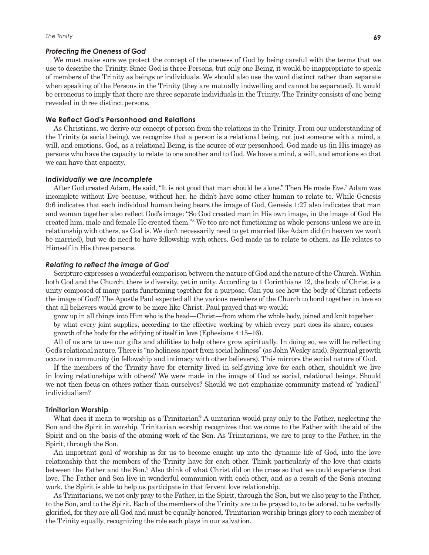#### *Protecting the Oneness of God*

We must make sure we protect the concept of the oneness of God by being careful with the terms that we use to describe the Trinity. Since God is three Persons, but only one Being, it would be inappropriate to speak of members of the Trinity as beings or individuals. We should also use the word distinct rather than separate when speaking of the Persons in the Trinity (they are mutually indwelling and cannot be separated). It would be erroneous to imply that there are three separate individuals in the Trinity. The Trinity consists of one being revealed in three distinct persons.

## **We Reflect God's Personhood and Relations**

As Christians, we derive our concept of person from the relations in the Trinity. From our understanding of the Trinity (a social being), we recognize that a person is a relational being, not just someone with a mind, a will, and emotions. God, as a relational Being, is the source of our personhood. God made us (in His image) as persons who have the capacity to relate to one another and to God. We have a mind, a will, and emotions so that we can have that capacity.

### *Individually we are incomplete*

After God created Adam, He said, "It is not good that man should be alone." Then He made Eve.7 Adam was incomplete without Eve because, without her, he didn't have some other human to relate to. While Genesis 9:6 indicates that each individual human being bears the image of God, Genesis 1:27 also indicates that man and woman together also reflect God's image: "So God created man in His own image, in the image of God He created him, male and female He created them."<sup>8</sup> We too are not functioning as whole persons unless we are in relationship with others, as God is. We don't necessarily need to get married like Adam did (in heaven we won't be married), but we do need to have fellowship with others. God made us to relate to others, as He relates to Himself in His three persons.

# *Relating to reflect the image of God*

Scripture expresses a wonderful comparison between the nature of God and the nature of the Church. Within both God and the Church, there is diversity, yet in unity. According to 1 Corinthians 12, the body of Christ is a unity composed of many parts functioning together for a purpose. Can you see how the body of Christ reflects the image of God? The Apostle Paul expected all the various members of the Church to bond together in love so that all believers would grow to be more like Christ. Paul prayed that we would:

grow up in all things into Him who is the head—Christ—from whom the whole body, joined and knit together by what every joint supplies, according to the effective working by which every part does its share, causes growth of the body for the edifying of itself in love (Ephesians 4:15–16).

All of us are to use our gifts and abilities to help others grow spiritually. In doing so, we will be reflecting God's relational nature. There is "no holiness apart from social holiness" (as John Wesley said). Spiritual growth occurs in community (in fellowship and intimacy with other believers). This mirrors the social nature of God.

If the members of the Trinity have for eternity lived in self-giving love for each other, shouldn't we live in loving relationships with others? We were made in the image of God as social, relational beings. Should we not then focus on others rather than ourselves? Should we not emphasize community instead of "radical" individualism?

### **Trinitarian Worship**

What does it mean to worship as a Trinitarian? A unitarian would pray only to the Father, neglecting the Son and the Spirit in worship. Trinitarian worship recognizes that we come to the Father with the aid of the Spirit and on the basis of the atoning work of the Son. As Trinitarians, we are to pray to the Father, in the Spirit, through the Son.

An important goal of worship is for us to become caught up into the dynamic life of God, into the love relationship that the members of the Trinity have for each other. Think particularly of the love that exists between the Father and the Son.<sup>9</sup> Also think of what Christ did on the cross so that we could experience that love. The Father and Son live in wonderful communion with each other, and as a result of the Son's atoning work, the Spirit is able to help us participate in that fervent love relationship.

As Trinitarians, we not only pray to the Father, in the Spirit, through the Son, but we also pray to the Father, to the Son, and to the Spirit. Each of the members of the Trinity are to be prayed to, to be adored, to be verbally glorified, for they are all God and must be equally honored. Trinitarian worship brings glory to each member of the Trinity equally, recognizing the role each plays in our salvation.